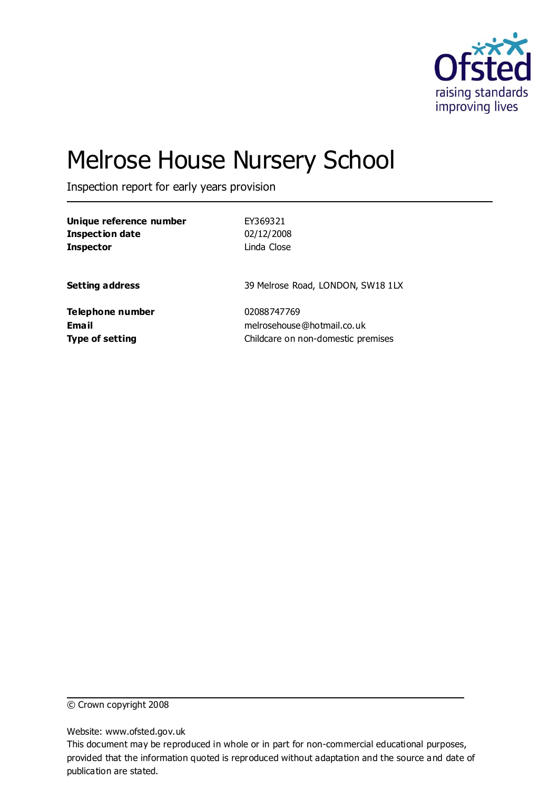

# Melrose House Nursery School

Inspection report for early years provision

| Unique reference number | EY369321                           |
|-------------------------|------------------------------------|
| <b>Inspection date</b>  | 02/12/2008                         |
| <b>Inspector</b>        | Linda Close                        |
| Setting address         | 39 Melrose Road, LONDON, SW18 1LX  |
| Telephone number        | 02088747769                        |
| Email                   | melrosehouse@hotmail.co.uk         |
| Type of setting         | Childcare on non-domestic premises |

© Crown copyright 2008

Website: www.ofsted.gov.uk

This document may be reproduced in whole or in part for non-commercial educational purposes, provided that the information quoted is reproduced without adaptation and the source and date of publication are stated.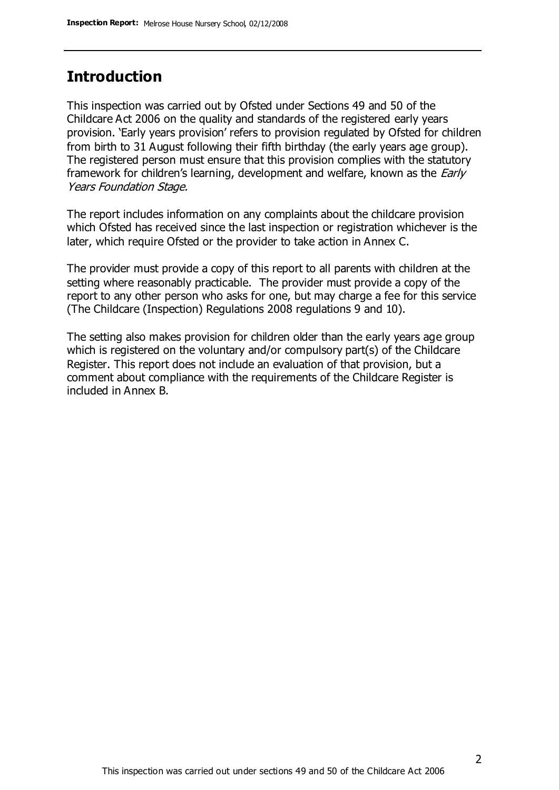# **Introduction**

This inspection was carried out by Ofsted under Sections 49 and 50 of the Childcare Act 2006 on the quality and standards of the registered early years provision. 'Early years provision' refers to provision regulated by Ofsted for children from birth to 31 August following their fifth birthday (the early years age group). The registered person must ensure that this provision complies with the statutory framework for children's learning, development and welfare, known as the *Early* Years Foundation Stage.

The report includes information on any complaints about the childcare provision which Ofsted has received since the last inspection or registration whichever is the later, which require Ofsted or the provider to take action in Annex C.

The provider must provide a copy of this report to all parents with children at the setting where reasonably practicable. The provider must provide a copy of the report to any other person who asks for one, but may charge a fee for this service (The Childcare (Inspection) Regulations 2008 regulations 9 and 10).

The setting also makes provision for children older than the early years age group which is registered on the voluntary and/or compulsory part(s) of the Childcare Register. This report does not include an evaluation of that provision, but a comment about compliance with the requirements of the Childcare Register is included in Annex B.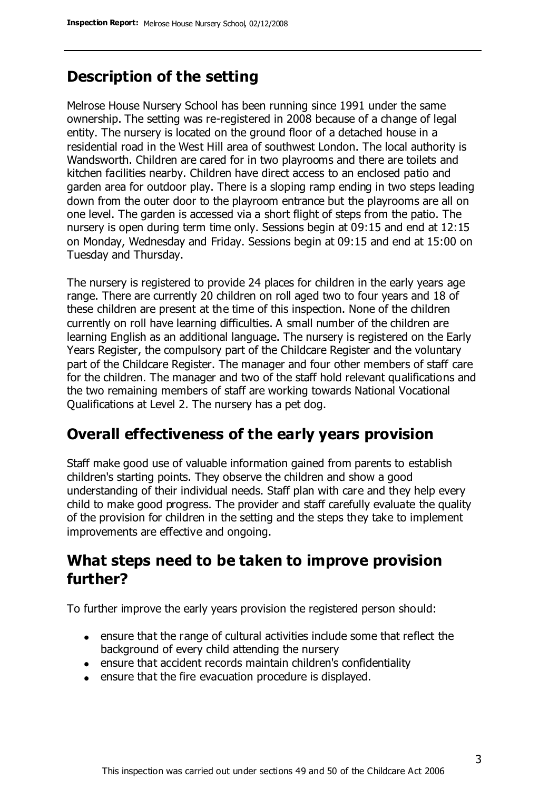# **Description of the setting**

Melrose House Nursery School has been running since 1991 under the same ownership. The setting was re-registered in 2008 because of a change of legal entity. The nursery is located on the ground floor of a detached house in a residential road in the West Hill area of southwest London. The local authority is Wandsworth. Children are cared for in two playrooms and there are toilets and kitchen facilities nearby. Children have direct access to an enclosed patio and garden area for outdoor play. There is a sloping ramp ending in two steps leading down from the outer door to the playroom entrance but the playrooms are all on one level. The garden is accessed via a short flight of steps from the patio. The nursery is open during term time only. Sessions begin at 09:15 and end at 12:15 on Monday, Wednesday and Friday. Sessions begin at 09:15 and end at 15:00 on Tuesday and Thursday.

The nursery is registered to provide 24 places for children in the early years age range. There are currently 20 children on roll aged two to four years and 18 of these children are present at the time of this inspection. None of the children currently on roll have learning difficulties. A small number of the children are learning English as an additional language. The nursery is registered on the Early Years Register, the compulsory part of the Childcare Register and the voluntary part of the Childcare Register. The manager and four other members of staff care for the children. The manager and two of the staff hold relevant qualifications and the two remaining members of staff are working towards National Vocational Qualifications at Level 2. The nursery has a pet dog.

## **Overall effectiveness of the early years provision**

Staff make good use of valuable information gained from parents to establish children's starting points. They observe the children and show a good understanding of their individual needs. Staff plan with care and they help every child to make good progress. The provider and staff carefully evaluate the quality of the provision for children in the setting and the steps they take to implement improvements are effective and ongoing.

# **What steps need to be taken to improve provision further?**

To further improve the early years provision the registered person should:

- ensure that the range of cultural activities include some that reflect the background of every child attending the nursery
- ensure that accident records maintain children's confidentiality
- ensure that the fire evacuation procedure is displayed.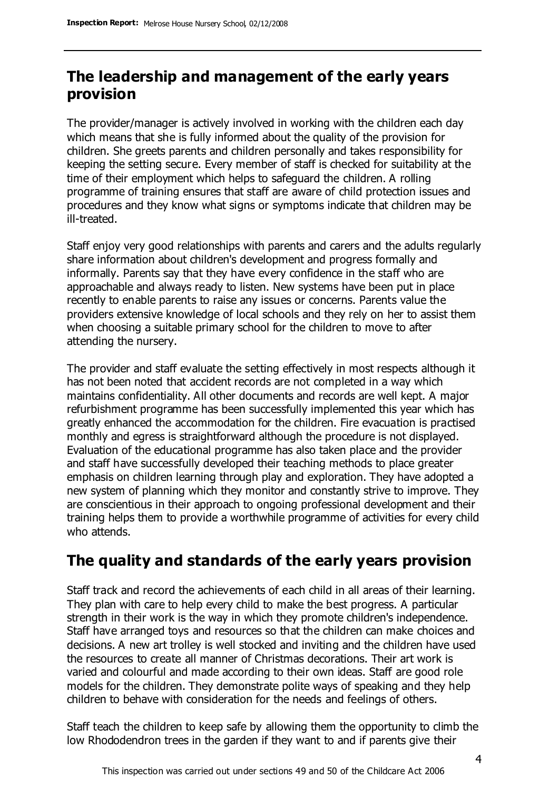# **The leadership and management of the early years provision**

The provider/manager is actively involved in working with the children each day which means that she is fully informed about the quality of the provision for children. She greets parents and children personally and takes responsibility for keeping the setting secure. Every member of staff is checked for suitability at the time of their employment which helps to safeguard the children. A rolling programme of training ensures that staff are aware of child protection issues and procedures and they know what signs or symptoms indicate that children may be ill-treated.

Staff enjoy very good relationships with parents and carers and the adults regularly share information about children's development and progress formally and informally. Parents say that they have every confidence in the staff who are approachable and always ready to listen. New systems have been put in place recently to enable parents to raise any issues or concerns. Parents value the providers extensive knowledge of local schools and they rely on her to assist them when choosing a suitable primary school for the children to move to after attending the nursery.

The provider and staff evaluate the setting effectively in most respects although it has not been noted that accident records are not completed in a way which maintains confidentiality. All other documents and records are well kept. A major refurbishment programme has been successfully implemented this year which has greatly enhanced the accommodation for the children. Fire evacuation is practised monthly and egress is straightforward although the procedure is not displayed. Evaluation of the educational programme has also taken place and the provider and staff have successfully developed their teaching methods to place greater emphasis on children learning through play and exploration. They have adopted a new system of planning which they monitor and constantly strive to improve. They are conscientious in their approach to ongoing professional development and their training helps them to provide a worthwhile programme of activities for every child who attends.

# **The quality and standards of the early years provision**

Staff track and record the achievements of each child in all areas of their learning. They plan with care to help every child to make the best progress. A particular strength in their work is the way in which they promote children's independence. Staff have arranged toys and resources so that the children can make choices and decisions. A new art trolley is well stocked and inviting and the children have used the resources to create all manner of Christmas decorations. Their art work is varied and colourful and made according to their own ideas. Staff are good role models for the children. They demonstrate polite ways of speaking and they help children to behave with consideration for the needs and feelings of others.

Staff teach the children to keep safe by allowing them the opportunity to climb the low Rhododendron trees in the garden if they want to and if parents give their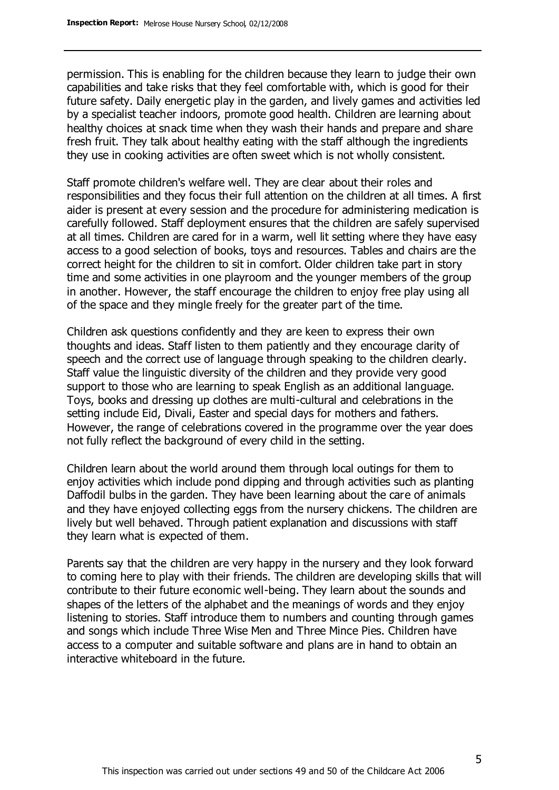permission. This is enabling for the children because they learn to judge their own capabilities and take risks that they feel comfortable with, which is good for their future safety. Daily energetic play in the garden, and lively games and activities led by a specialist teacher indoors, promote good health. Children are learning about healthy choices at snack time when they wash their hands and prepare and share fresh fruit. They talk about healthy eating with the staff although the ingredients they use in cooking activities are often sweet which is not wholly consistent.

Staff promote children's welfare well. They are clear about their roles and responsibilities and they focus their full attention on the children at all times. A first aider is present at every session and the procedure for administering medication is carefully followed. Staff deployment ensures that the children are safely supervised at all times. Children are cared for in a warm, well lit setting where they have easy access to a good selection of books, toys and resources. Tables and chairs are the correct height for the children to sit in comfort. Older children take part in story time and some activities in one playroom and the younger members of the group in another. However, the staff encourage the children to enjoy free play using all of the space and they mingle freely for the greater part of the time.

Children ask questions confidently and they are keen to express their own thoughts and ideas. Staff listen to them patiently and they encourage clarity of speech and the correct use of language through speaking to the children clearly. Staff value the linguistic diversity of the children and they provide very good support to those who are learning to speak English as an additional language. Toys, books and dressing up clothes are multi-cultural and celebrations in the setting include Eid, Divali, Easter and special days for mothers and fathers. However, the range of celebrations covered in the programme over the year does not fully reflect the background of every child in the setting.

Children learn about the world around them through local outings for them to enjoy activities which include pond dipping and through activities such as planting Daffodil bulbs in the garden. They have been learning about the care of animals and they have enjoyed collecting eggs from the nursery chickens. The children are lively but well behaved. Through patient explanation and discussions with staff they learn what is expected of them.

Parents say that the children are very happy in the nursery and they look forward to coming here to play with their friends. The children are developing skills that will contribute to their future economic well-being. They learn about the sounds and shapes of the letters of the alphabet and the meanings of words and they enjoy listening to stories. Staff introduce them to numbers and counting through games and songs which include Three Wise Men and Three Mince Pies. Children have access to a computer and suitable software and plans are in hand to obtain an interactive whiteboard in the future.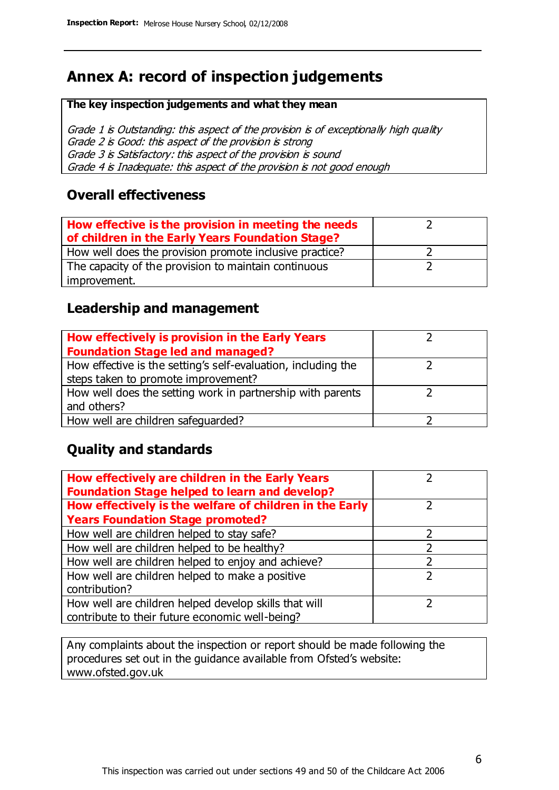# **Annex A: record of inspection judgements**

#### **The key inspection judgements and what they mean**

Grade 1 is Outstanding: this aspect of the provision is of exceptionally high quality Grade 2 is Good: this aspect of the provision is strong Grade 3 is Satisfactory: this aspect of the provision is sound Grade 4 is Inadequate: this aspect of the provision is not good enough

### **Overall effectiveness**

| How effective is the provision in meeting the needs<br>of children in the Early Years Foundation Stage? |  |
|---------------------------------------------------------------------------------------------------------|--|
| How well does the provision promote inclusive practice?                                                 |  |
| The capacity of the provision to maintain continuous                                                    |  |
| improvement.                                                                                            |  |

### **Leadership and management**

| How effectively is provision in the Early Years               |  |
|---------------------------------------------------------------|--|
| <b>Foundation Stage led and managed?</b>                      |  |
| How effective is the setting's self-evaluation, including the |  |
| steps taken to promote improvement?                           |  |
| How well does the setting work in partnership with parents    |  |
| and others?                                                   |  |
| How well are children safequarded?                            |  |

## **Quality and standards**

| How effectively are children in the Early Years<br><b>Foundation Stage helped to learn and develop?</b> |   |
|---------------------------------------------------------------------------------------------------------|---|
| How effectively is the welfare of children in the Early                                                 |   |
| <b>Years Foundation Stage promoted?</b>                                                                 |   |
| How well are children helped to stay safe?                                                              |   |
| How well are children helped to be healthy?                                                             |   |
| How well are children helped to enjoy and achieve?                                                      | 2 |
| How well are children helped to make a positive                                                         | っ |
| contribution?                                                                                           |   |
| How well are children helped develop skills that will                                                   |   |
| contribute to their future economic well-being?                                                         |   |

Any complaints about the inspection or report should be made following the procedures set out in the guidance available from Ofsted's website: www.ofsted.gov.uk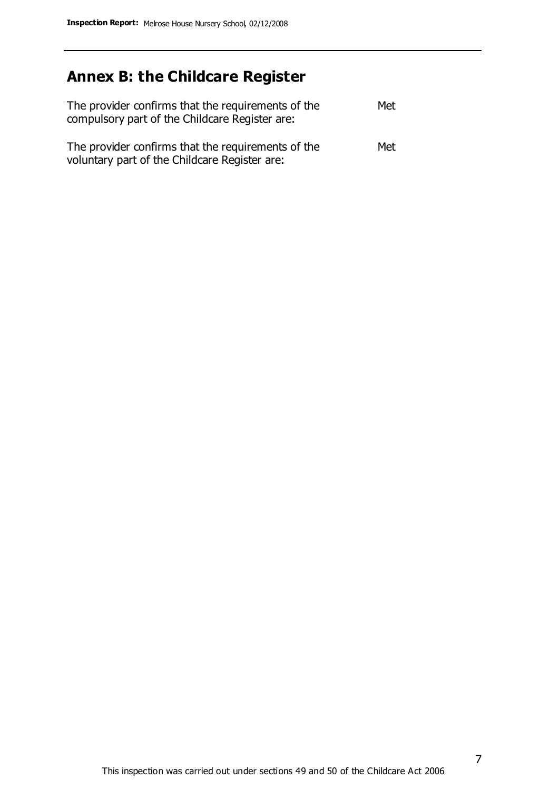# **Annex B: the Childcare Register**

| The provider confirms that the requirements of the<br>compulsory part of the Childcare Register are: | Met |
|------------------------------------------------------------------------------------------------------|-----|
| The provider confirms that the requirements of the<br>voluntary part of the Childcare Register are:  | Met |